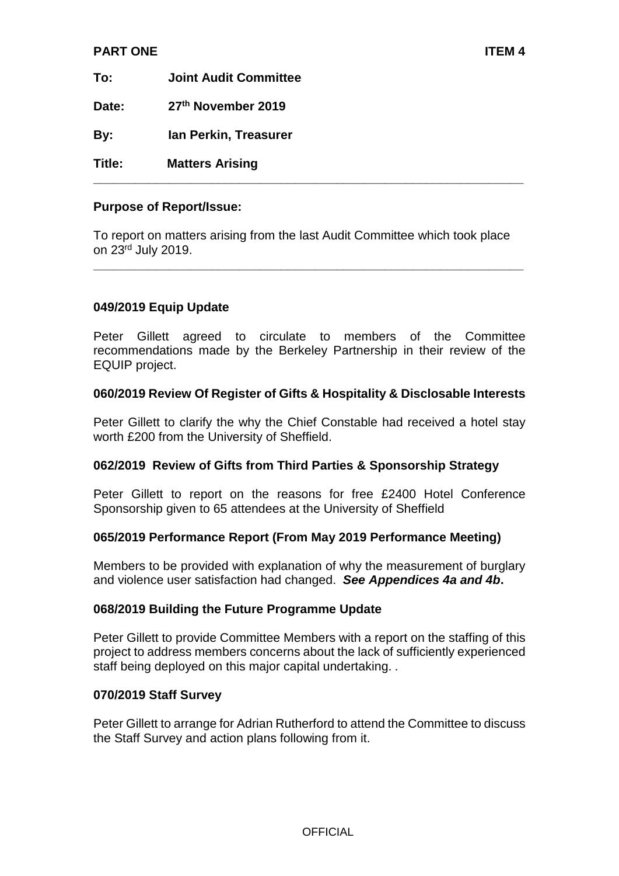# **PART ONE ITEM 4**

**To: Joint Audit Committee Date: 27th November 2019 By: Ian Perkin, Treasurer Title: Matters Arising** 

### **Purpose of Report/Issue:**

To report on matters arising from the last Audit Committee which took place on 23rd July 2019.

**\_\_\_\_\_\_\_\_\_\_\_\_\_\_\_\_\_\_\_\_\_\_\_\_\_\_\_\_\_\_\_\_\_\_\_\_\_\_\_\_\_\_\_\_\_\_\_\_\_\_\_\_\_\_\_\_\_\_\_\_\_\_**

**\_\_\_\_\_\_\_\_\_\_\_\_\_\_\_\_\_\_\_\_\_\_\_\_\_\_\_\_\_\_\_\_\_\_\_\_\_\_\_\_\_\_\_\_\_\_\_\_\_\_\_\_\_\_\_\_\_\_\_\_\_\_**

# **049/2019 Equip Update**

Peter Gillett agreed to circulate to members of the Committee recommendations made by the Berkeley Partnership in their review of the EQUIP project.

#### **060/2019 Review Of Register of Gifts & Hospitality & Disclosable Interests**

Peter Gillett to clarify the why the Chief Constable had received a hotel stay worth £200 from the University of Sheffield.

# **062/2019 Review of Gifts from Third Parties & Sponsorship Strategy**

Peter Gillett to report on the reasons for free £2400 Hotel Conference Sponsorship given to 65 attendees at the University of Sheffield

#### **065/2019 Performance Report (From May 2019 Performance Meeting)**

Members to be provided with explanation of why the measurement of burglary and violence user satisfaction had changed. *See Appendices 4a and 4b***.**

# **068/2019 Building the Future Programme Update**

Peter Gillett to provide Committee Members with a report on the staffing of this project to address members concerns about the lack of sufficiently experienced staff being deployed on this major capital undertaking. *.* 

#### **070/2019 Staff Survey**

Peter Gillett to arrange for Adrian Rutherford to attend the Committee to discuss the Staff Survey and action plans following from it.